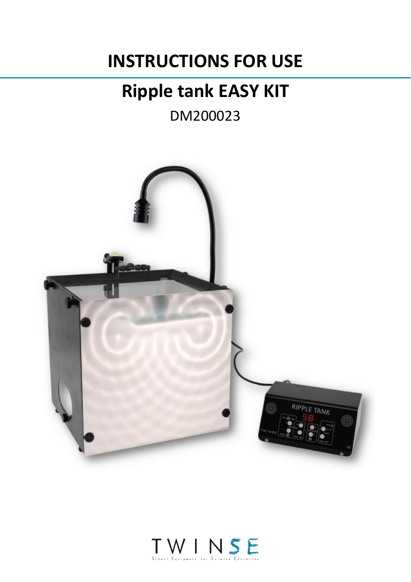# **INSTRUCTIONS FOR USE**

# **Ripple tank EASY KIT**

DM200023



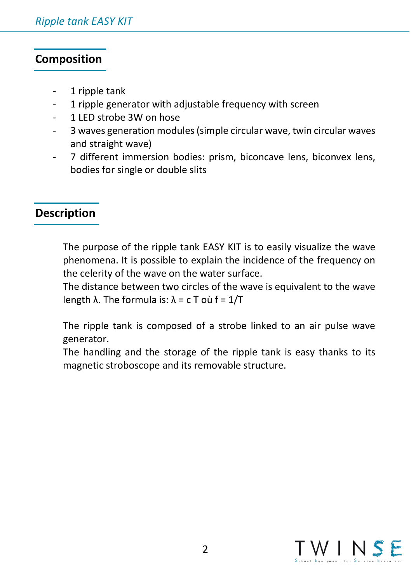## **Composition**

- 1 ripple tank
- 1 ripple generator with adjustable frequency with screen
- 1 LED strobe 3W on hose
- 3 waves generation modules (simple circular wave, twin circular waves and straight wave)
- 7 different immersion bodies: prism, biconcave lens, biconvex lens, bodies for single or double slits

## **Description**

The purpose of the ripple tank EASY KIT is to easily visualize the wave phenomena. It is possible to explain the incidence of the frequency on the celerity of the wave on the water surface.

The distance between two circles of the wave is equivalent to the wave length  $\lambda$ . The formula is:  $\lambda$  = c T où f = 1/T

The ripple tank is composed of a strobe linked to an air pulse wave generator.

The handling and the storage of the ripple tank is easy thanks to its magnetic stroboscope and its removable structure.

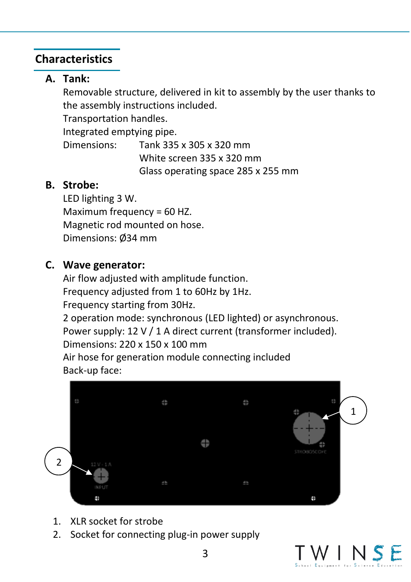## **Characteristics**

# **A. Tank:**

Removable structure, delivered in kit to assembly by the user thanks to the assembly instructions included.

Transportation handles.

Integrated emptying pipe.

Dimensions: Tank 335 x 305 x 320 mm White screen 335 x 320 mm Glass operating space 285 x 255 mm

## **B. Strobe:**

LED lighting 3 W. Maximum frequency = 60 HZ. Magnetic rod mounted on hose. Dimensions: Ø34 mm

## **C. Wave generator:**

Air flow adjusted with amplitude function. Frequency adjusted from 1 to 60Hz by 1Hz. Frequency starting from 30Hz. 2 operation mode: synchronous (LED lighted) or asynchronous. Power supply: 12 V / 1 A direct current (transformer included). Dimensions: 220 x 150 x 100 mm Air hose for generation module connecting included Back-up face:



- 1. XLR socket for strobe
- 2. Socket for connecting plug-in power supply

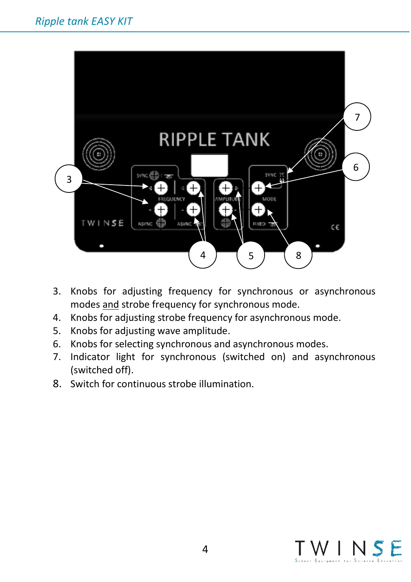

- 3. Knobs for adjusting frequency for synchronous or asynchronous modes and strobe frequency for synchronous mode.
- 4. Knobs for adjusting strobe frequency for asynchronous mode.
- 5. Knobs for adjusting wave amplitude.
- 6. Knobs for selecting synchronous and asynchronous modes.
- 7. Indicator light for synchronous (switched on) and asynchronous (switched off).
- 8. Switch for continuous strobe illumination.

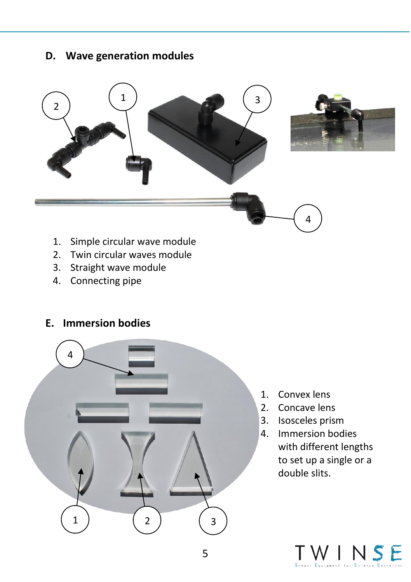### **D. Wave generation modules**



- 1. Simple circular wave module
- 2. Twin circular waves module
- 3. Straight wave module
- 4. Connecting pipe

### **E. Immersion bodies**



- 1. Convex lens
- 2. Concave lens
- 3. Isosceles prism
- 4. Immersion bodies with different lengths to set up a single or a double slits.

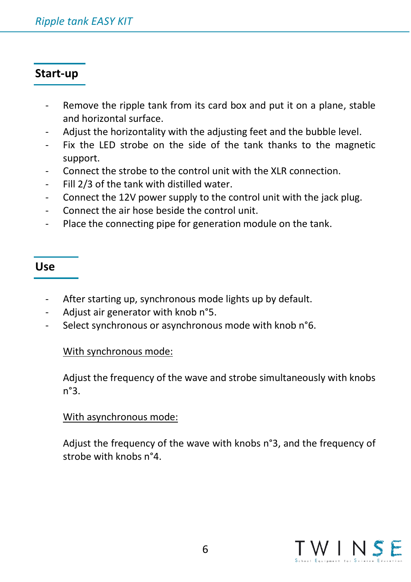## **Start-up**

- Remove the ripple tank from its card box and put it on a plane, stable and horizontal surface.
- Adjust the horizontality with the adjusting feet and the bubble level.
- Fix the LED strobe on the side of the tank thanks to the magnetic support.
- Connect the strobe to the control unit with the XLR connection.
- Fill 2/3 of the tank with distilled water.
- Connect the 12V power supply to the control unit with the jack plug.
- Connect the air hose beside the control unit.
- Place the connecting pipe for generation module on the tank.

#### **Use**

- After starting up, synchronous mode lights up by default.
- Adjust air generator with knob n°5.
- Select synchronous or asynchronous mode with knob n°6.

#### With synchronous mode:

Adjust the frequency of the wave and strobe simultaneously with knobs n°3.

#### With asynchronous mode:

Adjust the frequency of the wave with knobs n°3, and the frequency of strobe with knobs n°4.

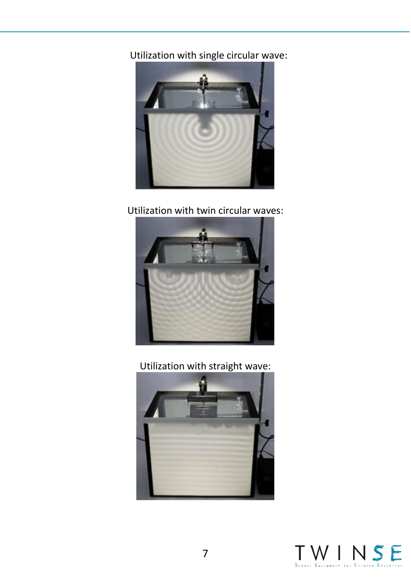Utilization with single circular wave:



Utilization with twin circular waves:



Utilization with straight wave: